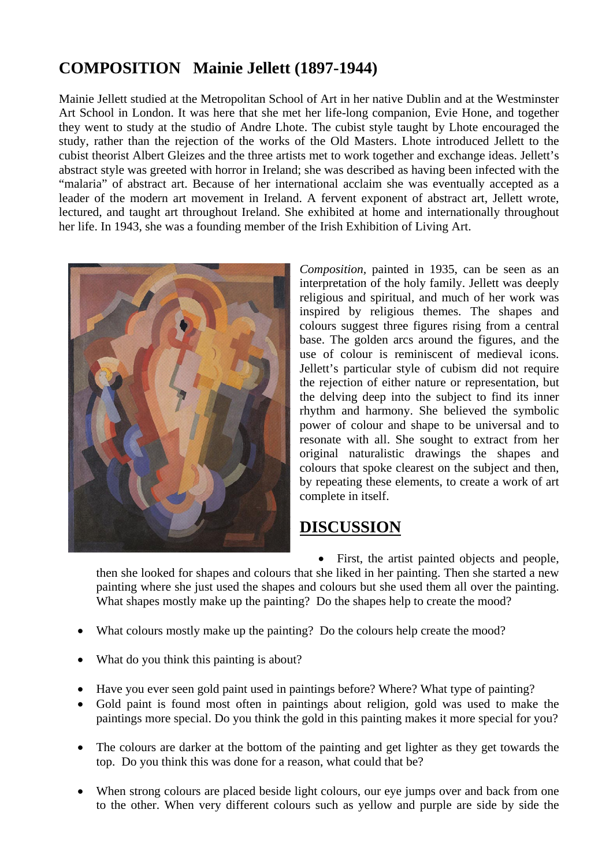## **COMPOSITION Mainie Jellett (1897-1944)**

Mainie Jellett studied at the Metropolitan School of Art in her native Dublin and at the Westminster Art School in London. It was here that she met her life-long companion, Evie Hone, and together they went to study at the studio of Andre Lhote. The cubist style taught by Lhote encouraged the study, rather than the rejection of the works of the Old Masters. Lhote introduced Jellett to the cubist theorist Albert Gleizes and the three artists met to work together and exchange ideas. Jellett's abstract style was greeted with horror in Ireland; she was described as having been infected with the "malaria" of abstract art. Because of her international acclaim she was eventually accepted as a leader of the modern art movement in Ireland. A fervent exponent of abstract art, Jellett wrote, lectured, and taught art throughout Ireland. She exhibited at home and internationally throughout her life. In 1943, she was a founding member of the Irish Exhibition of Living Art.



*Composition,* painted in 1935, can be seen as an interpretation of the holy family. Jellett was deeply religious and spiritual, and much of her work was inspired by religious themes. The shapes and colours suggest three figures rising from a central base. The golden arcs around the figures, and the use of colour is reminiscent of medieval icons. Jellett's particular style of cubism did not require the rejection of either nature or representation, but the delving deep into the subject to find its inner rhythm and harmony. She believed the symbolic power of colour and shape to be universal and to resonate with all. She sought to extract from her original naturalistic drawings the shapes and colours that spoke clearest on the subject and then, by repeating these elements, to create a work of art complete in itself.

## **DISCUSSION**

• First, the artist painted objects and people, then she looked for shapes and colours that she liked in her painting. Then she started a new painting where she just used the shapes and colours but she used them all over the painting. What shapes mostly make up the painting? Do the shapes help to create the mood?

- What colours mostly make up the painting? Do the colours help create the mood?
- What do you think this painting is about?
- Have you ever seen gold paint used in paintings before? Where? What type of painting?
- Gold paint is found most often in paintings about religion, gold was used to make the paintings more special. Do you think the gold in this painting makes it more special for you?
- The colours are darker at the bottom of the painting and get lighter as they get towards the top. Do you think this was done for a reason, what could that be?
- When strong colours are placed beside light colours, our eye jumps over and back from one to the other. When very different colours such as yellow and purple are side by side the